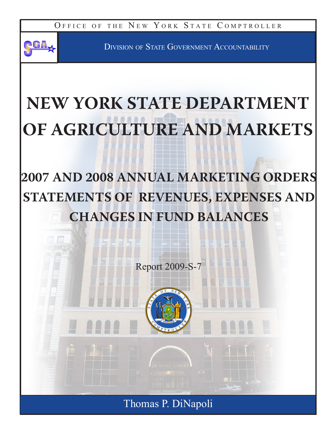OFFICE OF THE NEW YORK STATE COMPTROLLER



Division of State Government Accountability

# **NEW YORK STATE DEPARTMENT OF AGRICULTURE AND MARKETS**

**2007 AND 2008 ANNUAL MARKETING ORDERS STATEMENTS OF REVENUES, EXPENSES AND CHANGES IN FUND BALANCES**

Report 2009-S-7



Thomas P. DiNapoli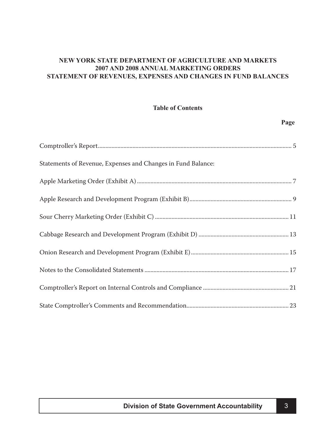### **NEW YORK STATE DEPARTMENT OF AGRICULTURE AND MARKETS 2007 AND 2008 ANNUAL MARKETING ORDERS STATEMENT OF REVENUES, EXPENSES AND CHANGES IN FUND BALANCES**

#### **Table of Contents**

| Statements of Revenue, Expenses and Changes in Fund Balance: |
|--------------------------------------------------------------|
|                                                              |
|                                                              |
|                                                              |
|                                                              |
|                                                              |
|                                                              |
|                                                              |
|                                                              |

 **Page**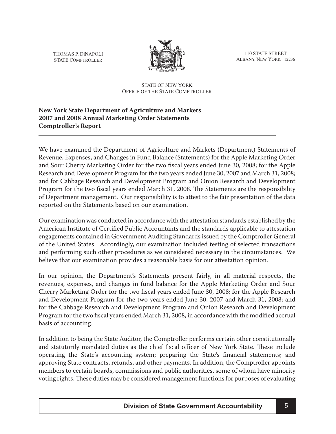<span id="page-4-0"></span>THOMAS P. DiNAPOLI STATE COMPTROLLER



110 STATE STREET ALBANY, NEW YORK 12236

#### STATE OF NEW YORK OFFICE OF THE STATE COMPTROLLER

# **New York State Department of Agriculture and Markets 2007 and 2008 Annual Marketing Order Statements Comptroller's Report**

We have examined the Department of Agriculture and Markets (Department) Statements of Revenue, Expenses, and Changes in Fund Balance (Statements) for the Apple Marketing Order and Sour Cherry Marketing Order for the two fiscal years ended June 30, 2008; for the Apple Research and Development Program for the two years ended June 30, 2007 and March 31, 2008; and for Cabbage Research and Development Program and Onion Research and Development Program for the two fiscal years ended March 31, 2008. The Statements are the responsibility of Department management. Our responsibility is to attest to the fair presentation of the data reported on the Statements based on our examination.

Our examination was conducted in accordance with the attestation standards established by the American Institute of Certified Public Accountants and the standards applicable to attestation engagements contained in Government Auditing Standards issued by the Comptroller General of the United States. Accordingly, our examination included testing of selected transactions and performing such other procedures as we considered necessary in the circumstances. We believe that our examination provides a reasonable basis for our attestation opinion.

In our opinion, the Department's Statements present fairly, in all material respects, the revenues, expenses, and changes in fund balance for the Apple Marketing Order and Sour Cherry Marketing Order for the two fiscal years ended June 30, 2008; for the Apple Research and Development Program for the two years ended June 30, 2007 and March 31, 2008; and for the Cabbage Research and Development Program and Onion Research and Development Program for the two fiscal years ended March 31, 2008, in accordance with the modified accrual basis of accounting.

In addition to being the State Auditor, the Comptroller performs certain other constitutionally and statutorily mandated duties as the chief fiscal officer of New York State. These include operating the State's accounting system; preparing the State's financial statements; and approving State contracts, refunds, and other payments. In addition, the Comptroller appoints members to certain boards, commissions and public authorities, some of whom have minority voting rights. These duties may be considered management functions for purposes of evaluating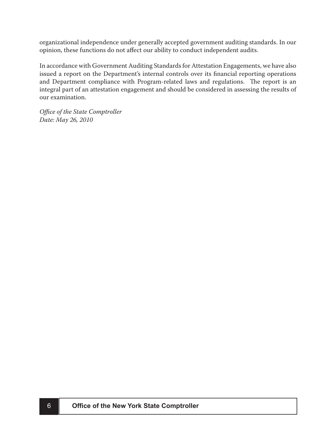organizational independence under generally accepted government auditing standards. In our opinion, these functions do not affect our ability to conduct independent audits.

In accordance with Government Auditing Standards for Attestation Engagements, we have also issued a report on the Department's internal controls over its financial reporting operations and Department compliance with Program-related laws and regulations. The report is an integral part of an attestation engagement and should be considered in assessing the results of our examination.

*Office of the State Comptroller Date: May 26, 2010*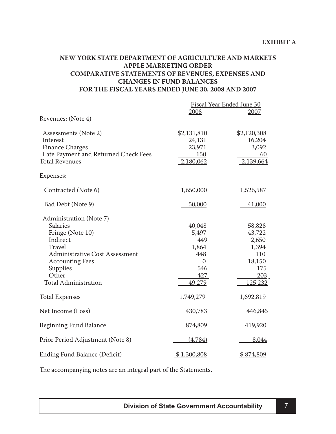### <span id="page-6-0"></span>**NEW YORK STATE DEPARTMENT OF AGRICULTURE AND MARKETS APPLE MARKETING ORDER COMPARATIVE STATEMENTS OF REVENUES, EXPENSES AND CHANGES IN FUND BALANCES FOR THE FISCAL YEARS ENDED JUNE 30, 2008 AND 2007**

|                                                                                                                                                                                                                    | Fiscal Year Ended June 30<br>2008<br>2007                                        |                                                                              |
|--------------------------------------------------------------------------------------------------------------------------------------------------------------------------------------------------------------------|----------------------------------------------------------------------------------|------------------------------------------------------------------------------|
| Revenues: (Note 4)                                                                                                                                                                                                 |                                                                                  |                                                                              |
| Assessments (Note 2)<br>Interest<br><b>Finance Charges</b><br>Late Payment and Returned Check Fees<br><b>Total Revenues</b>                                                                                        | \$2,131,810<br>24,131<br>23,971<br>150<br>2,180,062                              | \$2,120,308<br>16,204<br>3,092<br>60<br>2,139,664                            |
| Expenses:                                                                                                                                                                                                          |                                                                                  |                                                                              |
| Contracted (Note 6)                                                                                                                                                                                                | 1,650,000                                                                        | 1,526,587                                                                    |
| Bad Debt (Note 9)                                                                                                                                                                                                  | 50,000                                                                           | 41,000                                                                       |
| Administration (Note 7)<br><b>Salaries</b><br>Fringe (Note 10)<br>Indirect<br><b>Travel</b><br><b>Administrative Cost Assessment</b><br><b>Accounting Fees</b><br>Supplies<br>Other<br><b>Total Administration</b> | 40,048<br>5,497<br>449<br>1,864<br>448<br>$\overline{0}$<br>546<br>427<br>49,279 | 58,828<br>43,722<br>2,650<br>1,394<br>110<br>18,150<br>175<br>203<br>125,232 |
| <b>Total Expenses</b>                                                                                                                                                                                              | 1,749,279                                                                        | 1,692,819                                                                    |
| Net Income (Loss)                                                                                                                                                                                                  | 430,783                                                                          | 446,845                                                                      |
| <b>Beginning Fund Balance</b>                                                                                                                                                                                      | 874,809                                                                          | 419,920                                                                      |
| Prior Period Adjustment (Note 8)                                                                                                                                                                                   | (4,784)                                                                          | 8,044                                                                        |
| <b>Ending Fund Balance (Deficit)</b>                                                                                                                                                                               | \$1,300,808                                                                      | \$874,809                                                                    |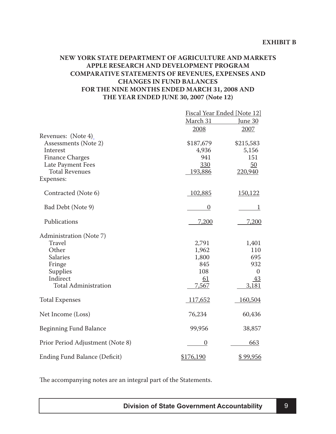### <span id="page-8-0"></span>**NEW YORK STATE DEPARTMENT OF AGRICULTURE AND MARKETS APPLE RESEARCH AND DEVELOPMENT PROGRAM COMPARATIVE STATEMENTS OF REVENUES, EXPENSES AND CHANGES IN FUND BALANCES FOR THE NINE MONTHS ENDED MARCH 31, 2008 AND THE YEAR ENDED JUNE 30, 2007 (Note 12)**

|                                  | Fiscal Year Ended [Note 12] |                  |
|----------------------------------|-----------------------------|------------------|
|                                  | March 31                    | June 30          |
|                                  | 2008                        | 2007             |
| Revenues: (Note 4)               |                             |                  |
| Assessments (Note 2)             | \$187,679                   | \$215,583        |
| Interest                         | 4,936                       | 5,156            |
| <b>Finance Charges</b>           | 941                         | 151              |
| Late Payment Fees                | 330                         | 50               |
| <b>Total Revenues</b>            | 193,886                     | 220,940          |
| Expenses:                        |                             |                  |
| Contracted (Note 6)              | 102,885                     | 150,122          |
| Bad Debt (Note 9)                | $\boldsymbol{0}$            | 1                |
| Publications                     | <u>7,200</u>                | 7,200            |
| Administration (Note 7)          |                             |                  |
| <b>Travel</b>                    | 2,791                       | 1,401            |
| Other                            | 1,962                       | 110              |
| <b>Salaries</b>                  | 1,800                       | 695              |
| Fringe                           | 845                         | 932              |
| Supplies                         | 108                         | $\boldsymbol{0}$ |
| Indirect                         | 61                          | 43               |
| <b>Total Administration</b>      | 7,567                       | 3,181            |
| <b>Total Expenses</b>            | 117,652                     | 160,504          |
| Net Income (Loss)                | 76,234                      | 60,436           |
| <b>Beginning Fund Balance</b>    | 99,956                      | 38,857           |
| Prior Period Adjustment (Note 8) | $\boldsymbol{0}$            | 663              |
| Ending Fund Balance (Deficit)    | \$176,190                   | \$99,956         |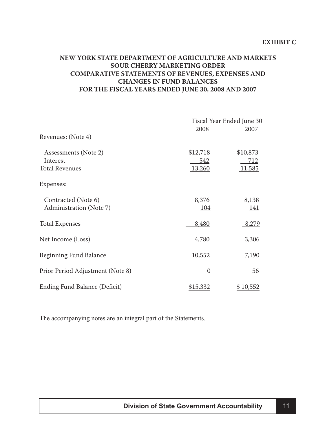### <span id="page-10-0"></span>**NEW YORK STATE DEPARTMENT OF AGRICULTURE AND MARKETS SOUR CHERRY MARKETING ORDER COMPARATIVE STATEMENTS OF REVENUES, EXPENSES AND CHANGES IN FUND BALANCES FOR THE FISCAL YEARS ENDED JUNE 30, 2008 AND 2007**

|                                  | Fiscal Year Ended June 30 |             |  |
|----------------------------------|---------------------------|-------------|--|
| Revenues: (Note 4)               | 2008                      | 2007        |  |
|                                  |                           |             |  |
| Assessments (Note 2)             | \$12,718                  | \$10,873    |  |
| Interest                         | <u>542</u>                | <u>712</u>  |  |
| <b>Total Revenues</b>            | 13,260                    | 11,585      |  |
| Expenses:                        |                           |             |  |
| Contracted (Note 6)              | 8,376                     | 8,138       |  |
| Administration (Note 7)          | <u> 104</u>               | <u> 141</u> |  |
| <b>Total Expenses</b>            | 8,480                     | 8,279       |  |
| Net Income (Loss)                | 4,780                     | 3,306       |  |
| <b>Beginning Fund Balance</b>    | 10,552                    | 7,190       |  |
| Prior Period Adjustment (Note 8) | $\Omega$                  | <u>56</u>   |  |
| Ending Fund Balance (Deficit)    | \$15,332                  | \$10,552    |  |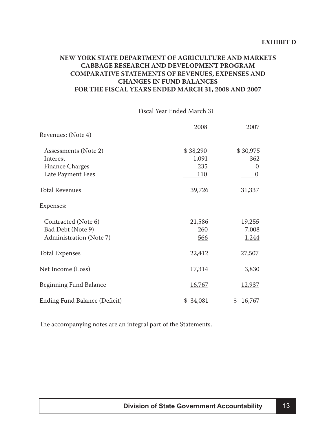### <span id="page-12-0"></span>**NEW YORK STATE DEPARTMENT OF AGRICULTURE AND MARKETS CABBAGE RESEARCH AND DEVELOPMENT PROGRAM COMPARATIVE STATEMENTS OF REVENUES, EXPENSES AND CHANGES IN FUND BALANCES FOR THE FISCAL YEARS ENDED MARCH 31, 2008 AND 2007**

#### Fiscal Year Ended March 31

|                               | 2008       | 2007             |
|-------------------------------|------------|------------------|
| Revenues: (Note 4)            |            |                  |
| Assessments (Note 2)          | \$38,290   | \$30,975         |
| Interest                      | 1,091      | 362              |
| <b>Finance Charges</b>        | 235        | 0                |
| Late Payment Fees             | <u>110</u> | $\boldsymbol{0}$ |
| <b>Total Revenues</b>         | 39,726     | 31,337           |
| Expenses:                     |            |                  |
| Contracted (Note 6)           | 21,586     | 19,255           |
| Bad Debt (Note 9)             | 260        | 7,008            |
| Administration (Note 7)       | 566        | 1,244            |
| <b>Total Expenses</b>         | 22,412     | <u>27,507</u>    |
| Net Income (Loss)             | 17,314     | 3,830            |
| <b>Beginning Fund Balance</b> | 16,767     | <u>12,937</u>    |
| Ending Fund Balance (Deficit) | 34,081     | 16,767           |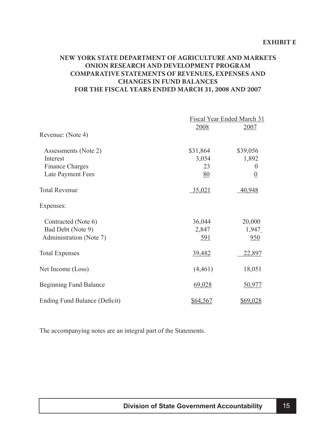### <span id="page-14-0"></span>**NEW YORK STATE DEPARTMENT OF AGRICULTURE AND MARKETS ONION RESEARCH AND DEVELOPMENT PROGRAM COMPARATIVE STATEMENTS OF REVENUES, EXPENSES AND CHANGES IN FUND BALANCES FOR THE FISCAL YEARS ENDED MARCH 31, 2008 AND 2007**

|                               |            | Fiscal Year Ended March 31 |  |
|-------------------------------|------------|----------------------------|--|
|                               | 2008       | 2007                       |  |
| Revenue: (Note 4)             |            |                            |  |
| Assessments (Note 2)          | \$31,864   | \$39,056                   |  |
| Interest                      | 3,054      | 1,892                      |  |
| <b>Finance Charges</b>        | 23         | $\theta$                   |  |
| Late Payment Fees             | 80         | $\underline{0}$            |  |
| <b>Total Revenue</b>          | 35,021     | 40,948                     |  |
| Expenses:                     |            |                            |  |
| Contracted (Note 6)           | 36,044     | 20,000                     |  |
| Bad Debt (Note 9)             | 2,847      | 1,947                      |  |
| Administration (Note 7)       | <u>591</u> | 950                        |  |
| <b>Total Expenses</b>         | 39,482     | 22,897                     |  |
| Net Income (Loss)             | (4,461)    | 18,051                     |  |
| Beginning Fund Balance        | 69,028     | 50,977                     |  |
| Ending Fund Balance (Deficit) | \$64,567   | \$69,028                   |  |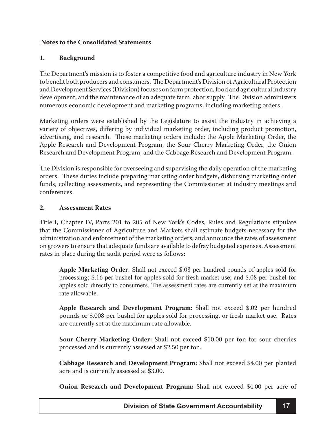### <span id="page-16-0"></span>**Notes to the Consolidated Statements**

#### **1. Background**

The Department's mission is to foster a competitive food and agriculture industry in New York to benefit both producers and consumers. The Department's Division of Agricultural Protection and Development Services (Division) focuses on farm protection, food and agricultural industry development, and the maintenance of an adequate farm labor supply. The Division administers numerous economic development and marketing programs, including marketing orders.

Marketing orders were established by the Legislature to assist the industry in achieving a variety of objectives, differing by individual marketing order, including product promotion, advertising, and research. These marketing orders include: the Apple Marketing Order, the Apple Research and Development Program, the Sour Cherry Marketing Order, the Onion Research and Development Program, and the Cabbage Research and Development Program.

The Division is responsible for overseeing and supervising the daily operation of the marketing orders. These duties include preparing marketing order budgets, disbursing marketing order funds, collecting assessments, and representing the Commissioner at industry meetings and conferences.

#### **2. Assessment Rates**

Title I, Chapter IV, Parts 201 to 205 of New York's Codes, Rules and Regulations stipulate that the Commissioner of Agriculture and Markets shall estimate budgets necessary for the administration and enforcement of the marketing orders; and announce the rates of assessment on growers to ensure that adequate funds are available to defray budgeted expenses. Assessment rates in place during the audit period were as follows:

**Apple Marketing Order**: Shall not exceed \$.08 per hundred pounds of apples sold for processing; \$.16 per bushel for apples sold for fresh market use; and \$.08 per bushel for apples sold directly to consumers. The assessment rates are currently set at the maximum rate allowable.

**Apple Research and Development Program:** Shall not exceed \$.02 per hundred pounds or \$.008 per bushel for apples sold for processing, or fresh market use. Rates are currently set at the maximum rate allowable.

**Sour Cherry Marketing Order:** Shall not exceed \$10.00 per ton for sour cherries processed and is currently assessed at \$2.50 per ton.

**Cabbage Research and Development Program:** Shall not exceed \$4.00 per planted acre and is currently assessed at \$3.00.

**Onion Research and Development Program:** Shall not exceed \$4.00 per acre of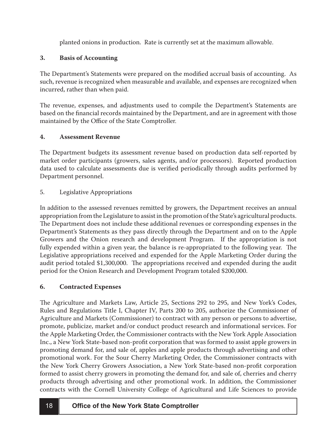planted onions in production. Rate is currently set at the maximum allowable.

# **3. Basis of Accounting**

The Department's Statements were prepared on the modified accrual basis of accounting. As such, revenue is recognized when measurable and available, and expenses are recognized when incurred, rather than when paid.

The revenue, expenses, and adjustments used to compile the Department's Statements are based on the financial records maintained by the Department, and are in agreement with those maintained by the Office of the State Comptroller.

# **4. Assessment Revenue**

The Department budgets its assessment revenue based on production data self-reported by market order participants (growers, sales agents, and/or processors). Reported production data used to calculate assessments due is verified periodically through audits performed by Department personnel.

#### 5. Legislative Appropriations

In addition to the assessed revenues remitted by growers, the Department receives an annual appropriation from the Legislature to assist in the promotion of the State's agricultural products. The Department does not include these additional revenues or corresponding expenses in the Department's Statements as they pass directly through the Department and on to the Apple Growers and the Onion research and development Program. If the appropriation is not fully expended within a given year, the balance is re-appropriated to the following year. The Legislative appropriations received and expended for the Apple Marketing Order during the audit period totaled \$1,300,000. The appropriations received and expended during the audit period for the Onion Research and Development Program totaled \$200,000.

# **6. Contracted Expenses**

The Agriculture and Markets Law, Article 25, Sections 292 to 295, and New York's Codes, Rules and Regulations Title I, Chapter IV, Parts 200 to 205, authorize the Commissioner of Agriculture and Markets (Commissioner) to contract with any person or persons to advertise, promote, publicize, market and/or conduct product research and informational services. For the Apple Marketing Order, the Commissioner contracts with the New York Apple Association Inc., a New York State-based non-profit corporation that was formed to assist apple growers in promoting demand for, and sale of, apples and apple products through advertising and other promotional work. For the Sour Cherry Marketing Order, the Commissioner contracts with the New York Cherry Growers Association, a New York State-based non-profit corporation formed to assist cherry growers in promoting the demand for, and sale of, cherries and cherry products through advertising and other promotional work. In addition, the Commissioner contracts with the Cornell University College of Agricultural and Life Sciences to provide

# <sup>18</sup> **Office of the New York State Comptroller**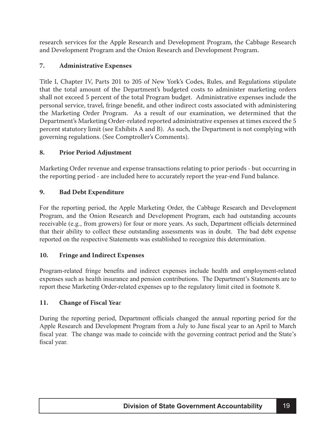research services for the Apple Research and Development Program, the Cabbage Research and Development Program and the Onion Research and Development Program.

### **7. Administrative Expenses**

Title I, Chapter IV, Parts 201 to 205 of New York's Codes, Rules, and Regulations stipulate that the total amount of the Department's budgeted costs to administer marketing orders shall not exceed 5 percent of the total Program budget. Administrative expenses include the personal service, travel, fringe benefit, and other indirect costs associated with administering the Marketing Order Program. As a result of our examination, we determined that the Department's Marketing Order-related reported administrative expenses at times exceed the 5 percent statutory limit (see Exhibits A and B). As such, the Department is not complying with governing regulations. (See Comptroller's Comments).

#### **8. Prior Period Adjustment**

Marketing Order revenue and expense transactions relating to prior periods - but occurring in the reporting period - are included here to accurately report the year-end Fund balance.

#### **9. Bad Debt Expenditure**

For the reporting period, the Apple Marketing Order, the Cabbage Research and Development Program, and the Onion Research and Development Program, each had outstanding accounts receivable (e.g., from growers) for four or more years. As such, Department officials determined that their ability to collect these outstanding assessments was in doubt. The bad debt expense reported on the respective Statements was established to recognize this determination.

#### **10. Fringe and Indirect Expenses**

Program-related fringe benefits and indirect expenses include health and employment-related expenses such as health insurance and pension contributions. The Department's Statements are to report these Marketing Order-related expenses up to the regulatory limit cited in footnote 8.

#### **11. Change of Fiscal Yea**r

During the reporting period, Department officials changed the annual reporting period for the Apple Research and Development Program from a July to June fiscal year to an April to March fiscal year. The change was made to coincide with the governing contract period and the State's fiscal year.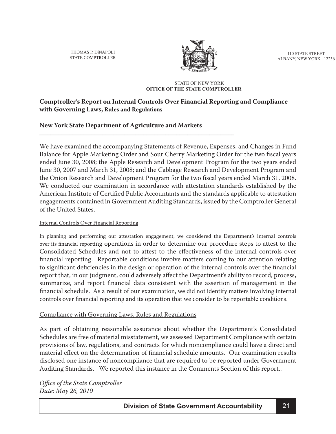<span id="page-20-0"></span>THOMAS P. DiNAPOLI STATE COMPTROLLER



110 STATE STREET ALBANY, NEW YORK 12236

#### STATE OF NEW YORK **OFFICE OF THE STATE COMPTROLLER**

#### **Comptroller's Report on Internal Controls Over Financial Reporting and Compliance with Governing Laws, Rules and Regulations**

#### **New York State Department of Agriculture and Markets**

**\_\_\_\_\_\_\_\_\_\_\_\_\_\_\_\_\_\_\_\_\_\_\_\_\_\_\_\_\_\_\_\_\_\_\_\_\_\_\_\_\_\_\_\_\_\_\_\_\_\_\_\_\_\_\_\_\_\_\_\_\_\_\_\_\_\_\_\_\_\_\_**

We have examined the accompanying Statements of Revenue, Expenses, and Changes in Fund Balance for Apple Marketing Order and Sour Cherry Marketing Order for the two fiscal years ended June 30, 2008; the Apple Research and Development Program for the two years ended June 30, 2007 and March 31, 2008; and the Cabbage Research and Development Program and the Onion Research and Development Program for the two fiscal years ended March 31, 2008. We conducted our examination in accordance with attestation standards established by the American Institute of Certified Public Accountants and the standards applicable to attestation engagements contained in Government Auditing Standards, issued by the Comptroller General of the United States.

#### Internal Controls Over Financial Reporting

In planning and performing our attestation engagement, we considered the Department's internal controls over its financial reporting operations in order to determine our procedure steps to attest to the Consolidated Schedules and not to attest to the effectiveness of the internal controls over financial reporting. Reportable conditions involve matters coming to our attention relating to significant deficiencies in the design or operation of the internal controls over the financial report that, in our judgment, could adversely affect the Department's ability to record, process, summarize, and report financial data consistent with the assertion of management in the financial schedule. As a result of our examination, we did not identify matters involving internal controls over financial reporting and its operation that we consider to be reportable conditions.

#### Compliance with Governing Laws, Rules and Regulations

As part of obtaining reasonable assurance about whether the Department's Consolidated Schedules are free of material misstatement, we assessed Department Compliance with certain provisions of law, regulations, and contracts for which noncompliance could have a direct and material effect on the determination of financial schedule amounts. Our examination results disclosed one instance of noncompliance that are required to be reported under Government Auditing Standards. We reported this instance in the Comments Section of this report..

*Office of the State Comptroller Date: May 26, 2010*